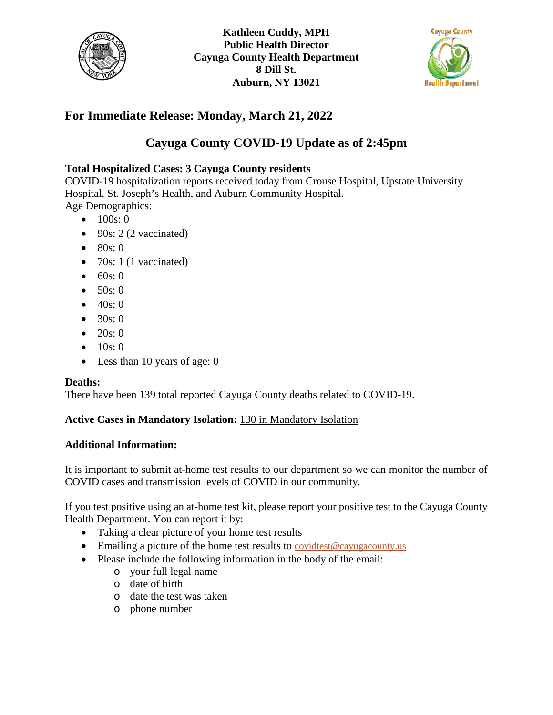



## **For Immediate Release: Monday, March 21, 2022**

# **Cayuga County COVID-19 Update as of 2:45pm**

### **Total Hospitalized Cases: 3 Cayuga County residents**

COVID-19 hospitalization reports received today from Crouse Hospital, Upstate University Hospital, St. Joseph's Health, and Auburn Community Hospital. Age Demographics:

- $100s:0$
- $\bullet$  90s: 2 (2 vaccinated)
- $80s:0$
- 70s: 1 (1 vaccinated)
- $60s:0$
- $50s:0$
- $40s:0$
- $30s:0$
- $20s:0$
- $10s:0$
- Less than 10 years of age: 0

### **Deaths:**

There have been 139 total reported Cayuga County deaths related to COVID-19.

### **Active Cases in Mandatory Isolation:** 130 in Mandatory Isolation

#### **Additional Information:**

It is important to submit at-home test results to our department so we can monitor the number of COVID cases and transmission levels of COVID in our community.

If you test positive using an at-home test kit, please report your positive test to the Cayuga County Health Department. You can report it by:

- Taking a clear picture of your home test results
- Emailing a picture of the home test results to  $\frac{\text{covidtest@cayugacounty.us}}{\text{covidtest@cayugacounty.us}}$  $\frac{\text{covidtest@cayugacounty.us}}{\text{covidtest@cayugacounty.us}}$  $\frac{\text{covidtest@cayugacounty.us}}{\text{covidtest@cayugacounty.us}}$
- Please include the following information in the body of the email:
	- o your full legal name
	- o date of birth
	- o date the test was taken
	- o phone number